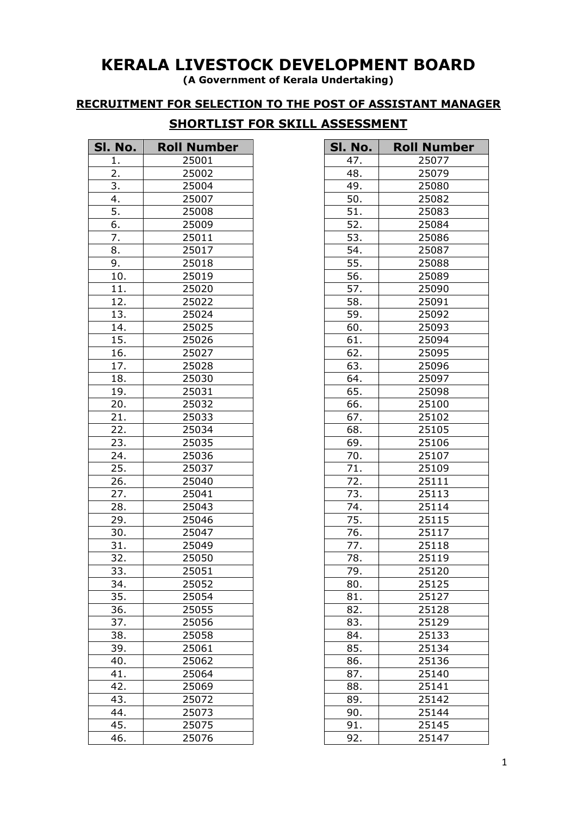## **KERALA LIVESTOCK DEVELOPMENT BOARD**

**(A Government of Kerala Undertaking)**

**RECRUITMENT FOR SELECTION TO THE POST OF ASSISTANT MANAGER**

## **SHORTLIST FOR SKILL ASSESSMENT**

| SI. No.           | <b>Roll Number</b> |
|-------------------|--------------------|
| 1.                | 25001              |
| $\overline{2}$ .  | 25002              |
| 3.                | 25004              |
| 4.                | 25007              |
| 5.                | 25008              |
| 6.                | 25009              |
| 7.                | 25011              |
| 8.                | 25017              |
| 9.                | 25018              |
| 10.               | 25019              |
| 11.               | 25020              |
| $\overline{12}$ . | 25022              |
| 13.               | 25024              |
| 14.               | 25025              |
| $\overline{15}$ . | 25026              |
| 16.               | 25027              |
| 17.               | 25028              |
| 18.               | 25030              |
| 19.               | 25031              |
| 20.               | 25032              |
| $\overline{21}$ . | 25033              |
| 22.               | 25034              |
| 23.               | 25035              |
| $\overline{24}$ . | 25036              |
| 25.               | 25037              |
| 26.               | 25040              |
| 27.               | 25041              |
| 28.               | 25043              |
| 29.               | 25046              |
| 30.               | 25047              |
| 31.               | 25049              |
| 32.               | 25050              |
| 33                | 25051              |
| 34.               | 25052              |
| 35.               | 25054              |
| 36.               | 25055              |
| 37.               | 25056              |
| 38.               | 25058              |
| 39.               | 25061              |
| 40.               | 25062              |
| 41.               | 25064              |
| 42.               | 25069              |
| 43.               | 25072              |
| 44.               | 25073              |
| 45.               | 25075              |
| 46.               | 25076              |

| SI. No.           | <b>Roll Number</b> |
|-------------------|--------------------|
| 47.               | 25077              |
| 48.               | 25079              |
| 49.               | 25080              |
| 50.               | 25082              |
| 51.               | 25083              |
| 52.               | 25084              |
| 53.               | 25086              |
| 54.               | 25087              |
| 55.               | 25088              |
| 56.               | 25089              |
| 57.               | 25090              |
| 58.               | 25091              |
| $\overline{59}$ . | 25092              |
| 60.               | 25093              |
| 61.               | 25094              |
| $\overline{62}$ . | 25095              |
| 63.               | 25096              |
| 64.               | 25097              |
| 65.               | 25098              |
| 66.               | 25100              |
| 67.               | 25102              |
| 68.               | 25105              |
| 69.               | 25106              |
| 70.               | 25107              |
| $\overline{7}1.$  | 25109              |
| 72.               | 25111              |
| 73.               | 25113              |
| 74.               | 25114              |
| 75.               | 25115              |
| 76.               | 25117              |
| 77.               | 25118              |
| 78.               | 25119              |
|                   | 25120              |
| 79.               |                    |
| 80.               | 25125              |
| 81.               | 25127              |
| 82.               | 25128              |
| 83.               | 25129              |
| 84.               | 25133              |
| 85.               | 25134              |
| 86.               | 25136              |
| 87.               | 25140              |
| 88.               | 25141              |
| 89.               | 25142              |
| 90.               | 25144              |
| 91.               | 25145              |
| 92.               | 25147              |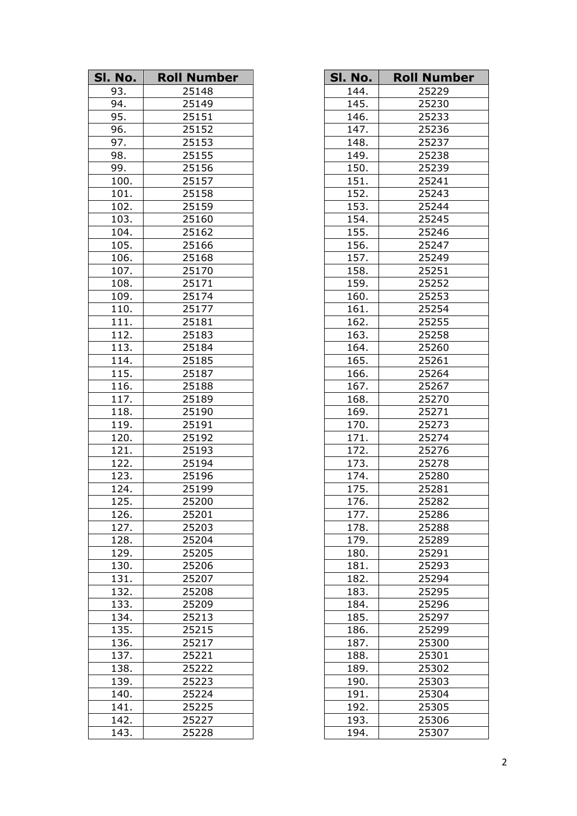| SI. No. | <b>Roll Number</b> |
|---------|--------------------|
| 93.     | 25148              |
| 94.     | 25149              |
| 95.     | 25151              |
| 96.     | 25152              |
| 97.     | 25153              |
| 98.     | 25155              |
| 99.     | 25156              |
| 100.    | 25157              |
| 101.    | 25158              |
| 102.    | 25159              |
| 103.    | 25160              |
| 104.    | 25162              |
| 105.    | 25166              |
| 106.    | 25168              |
| 107.    | 25170              |
| 108.    | 25171              |
| 109.    | 25174              |
| 110.    | 25177              |
| 111.    | 25181              |
| 112.    | 25183              |
| 113.    | 25184              |
| 114.    | 25185              |
| 115.    | 25187              |
| 116.    | 25188              |
| 117.    | 25189              |
| 118.    | 25190              |
| 119.    | 25191              |
| 120.    | 25192              |
| 121.    | 25193              |
| 122.    | 25194              |
| 123.    | 25196              |
| 124.    | 25199              |
| 125.    | 25200              |
| 126.    | 25201              |
| 127.    | 25203              |
| 128.    | 25204              |
| 129.    | 25205              |
| 130.    | 25206              |
| 131.    | 25207              |
| 132.    | 25208              |
| 133.    | 25209              |
| 134.    | 25213              |
| 135.    | 25215              |
| 136.    | 25217              |
| 137.    | 25221              |
| 138.    | 25222              |
| 139.    | 25223              |
| 140.    | 25224              |
| 141.    | 25225              |
| 142.    | 25227              |
| 143.    | 25228              |

| SI. No.            | <b>Roll Number</b> |
|--------------------|--------------------|
| 144.               | 25229              |
| 145.               | 25230              |
| $\overline{146}$ . | 25233              |
| 147.               | 25236              |
| 148.               | 25237              |
| 149.               | 25238              |
| 150.               | 25239              |
| 151.               | 25241              |
| 152.               | 25243              |
| 153.               | 25244              |
| 154.               | 25245              |
| 155.               | 25246              |
| 156.               | 25247              |
| 157.               | 25249              |
| 158.               | 25251              |
| 159.               | 25252              |
| 160.               | 25253              |
| 161.               | 25254              |
| 162.               | 25255              |
| 163.               | 25258              |
| 164.               | 25260              |
| 165.               | 25261              |
| 166.               | 25264              |
| 167.               | 25267              |
| 168.               | 25270              |
| 169.               | 25271              |
| 170.               | 25273              |
| 171.               | 25274              |
| 172.               | 25276              |
| 173.               | 25278              |
| 174.               | 25280              |
| 175.               | 25281              |
| 176.               | 25282              |
| 177.               | 25286              |
| 178.               | 25288              |
| 179.               | 25289              |
| 180.               | 25291              |
| 181.               | 25293              |
| 182.               | 25294              |
| 183.               | 25295              |
| $\overline{1}84.$  | 25296              |
| 185.               | $\frac{125297}{ }$ |
| 186.               | 25299              |
| 187.               | 25300              |
| 188.               | 25301              |
| 189.               | 25302              |
| 190.               | 25303              |
| 191.               | 25304              |
| 192.               | 25305              |
| 193.               | 25306              |
| 194.               | 25307              |
|                    |                    |